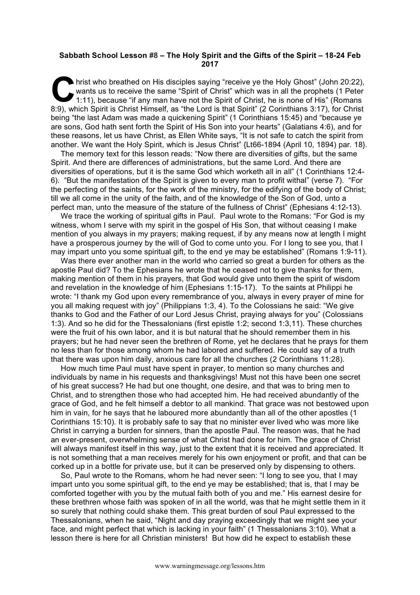## **Sabbath School Lesson #8 – The Holy Spirit and the Gifts of the Spirit – 18-24 Feb 2017**

hrist who breathed on His disciples saying "receive ye the Holy Ghost" (John 20:22), wants us to receive the same "Spirit of Christ" which was in all the prophets (1 Peter 1:11), because "if any man have not the Spirit of wants us to receive the same "Spirit of Christ" which was in all the prophets (1 Peter 1:11), because "if any man have not the Spirit of Christ, he is none of His" (Romans 8:9), which Spirit is Christ Himself, as "the Lord is that Spirit" (2 Corinthians 3:17), for Christ being "the last Adam was made a quickening Spirit" (1 Corinthians 15:45) and "because ye are sons, God hath sent forth the Spirit of His Son into your hearts" (Galatians 4:6), and for these reasons, let us have Christ, as Ellen White says, "It is not safe to catch the spirit from another. We want the Holy Spirit, which is Jesus Christ" {Lt66-1894 (April 10, 1894) par. 18}.

The memory text for this lesson reads: "Now there are diversities of gifts, but the same Spirit. And there are differences of administrations, but the same Lord. And there are diversities of operations, but it is the same God which worketh all in all" (1 Corinthians 12:4- 6). "But the manifestation of the Spirit is given to every man to profit withal" (verse 7). "For the perfecting of the saints, for the work of the ministry, for the edifying of the body of Christ; till we all come in the unity of the faith, and of the knowledge of the Son of God, unto a perfect man, unto the measure of the stature of the fullness of Christ" (Ephesians 4:12-13).

We trace the working of spiritual gifts in Paul. Paul wrote to the Romans: "For God is my witness, whom I serve with my spirit in the gospel of His Son, that without ceasing I make mention of you always in my prayers; making request, if by any means now at length I might have a prosperous journey by the will of God to come unto you. For I long to see you, that I may impart unto you some spiritual gift, to the end ye may be established" (Romans 1:9-11).

Was there ever another man in the world who carried so great a burden for others as the apostle Paul did? To the Ephesians he wrote that he ceased not to give thanks for them, making mention of them in his prayers, that God would give unto them the spirit of wisdom and revelation in the knowledge of him (Ephesians 1:15-17). To the saints at Philippi he wrote: "I thank my God upon every remembrance of you, always in every prayer of mine for you all making request with joy" (Philippians 1:3, 4). To the Colossians he said: "We give thanks to God and the Father of our Lord Jesus Christ, praying always for you" (Colossians 1:3). And so he did for the Thessalonians (first epistle 1:2; second 1:3,11). These churches were the fruit of his own labor, and it is but natural that he should remember them in his prayers; but he had never seen the brethren of Rome, yet he declares that he prays for them no less than for those among whom he had labored and suffered. He could say of a truth that there was upon him daily, anxious care for all the churches (2 Corinthians 11:28).

How much time Paul must have spent in prayer, to mention so many churches and individuals by name in his requests and thanksgivings! Must not this have been one secret of his great success? He had but one thought, one desire, and that was to bring men to Christ, and to strengthen those who had accepted him. He had received abundantly of the grace of God, and he felt himself a debtor to all mankind. That grace was not bestowed upon him in vain, for he says that he laboured more abundantly than all of the other apostles (1 Corinthians 15:10). It is probably safe to say that no minister ever lived who was more like Christ in carrying a burden for sinners, than the apostle Paul. The reason was, that he had an ever-present, overwhelming sense of what Christ had done for him. The grace of Christ will always manifest itself in this way, just to the extent that it is received and appreciated. It is not something that a man receives merely for his own enjoyment or profit, and that can be corked up in a bottle for private use, but it can be preserved only by dispensing to others.

So, Paul wrote to the Romans, whom he had never seen: "I long to see you, that I may impart unto you some spiritual gift, to the end ye may be established; that is, that I may be comforted together with you by the mutual faith both of you and me." His earnest desire for these brethren whose faith was spoken of in all the world, was that he might settle them in it so surely that nothing could shake them. This great burden of soul Paul expressed to the Thessalonians, when he said, "Night and day praying exceedingly that we might see your face, and might perfect that which is lacking in your faith" (1 Thessalonians 3:10). What a lesson there is here for all Christian ministers! But how did he expect to establish these